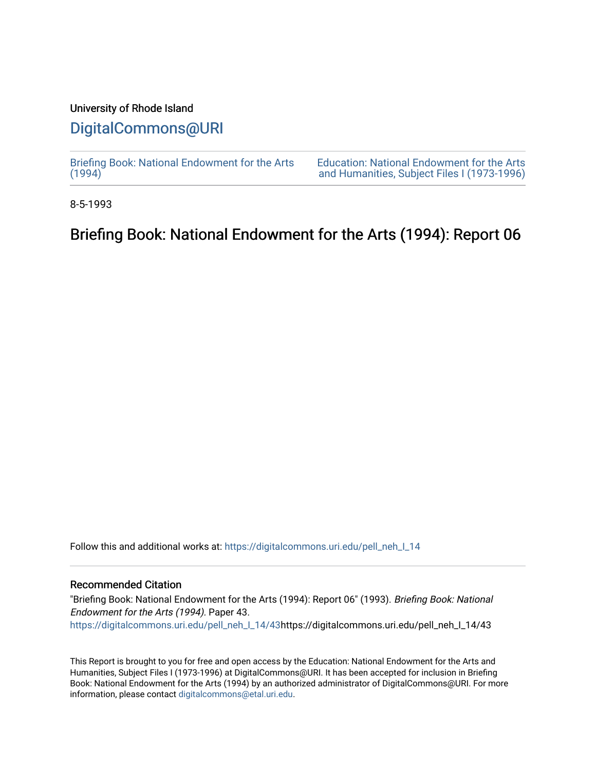#### University of Rhode Island

## [DigitalCommons@URI](https://digitalcommons.uri.edu/)

[Briefing Book: National Endowment for the Arts](https://digitalcommons.uri.edu/pell_neh_I_14)  $(1994)$ 

[Education: National Endowment for the Arts](https://digitalcommons.uri.edu/pell_neh_I)  [and Humanities, Subject Files I \(1973-1996\)](https://digitalcommons.uri.edu/pell_neh_I) 

8-5-1993

# Briefing Book: National Endowment for the Arts (1994): Report 06

Follow this and additional works at: [https://digitalcommons.uri.edu/pell\\_neh\\_I\\_14](https://digitalcommons.uri.edu/pell_neh_I_14?utm_source=digitalcommons.uri.edu%2Fpell_neh_I_14%2F43&utm_medium=PDF&utm_campaign=PDFCoverPages) 

#### Recommended Citation

"Briefing Book: National Endowment for the Arts (1994): Report 06" (1993). Briefing Book: National Endowment for the Arts (1994). Paper 43. [https://digitalcommons.uri.edu/pell\\_neh\\_I\\_14/43h](https://digitalcommons.uri.edu/pell_neh_I_14/43?utm_source=digitalcommons.uri.edu%2Fpell_neh_I_14%2F43&utm_medium=PDF&utm_campaign=PDFCoverPages)ttps://digitalcommons.uri.edu/pell\_neh\_I\_14/43

This Report is brought to you for free and open access by the Education: National Endowment for the Arts and Humanities, Subject Files I (1973-1996) at DigitalCommons@URI. It has been accepted for inclusion in Briefing Book: National Endowment for the Arts (1994) by an authorized administrator of DigitalCommons@URI. For more information, please contact [digitalcommons@etal.uri.edu.](mailto:digitalcommons@etal.uri.edu)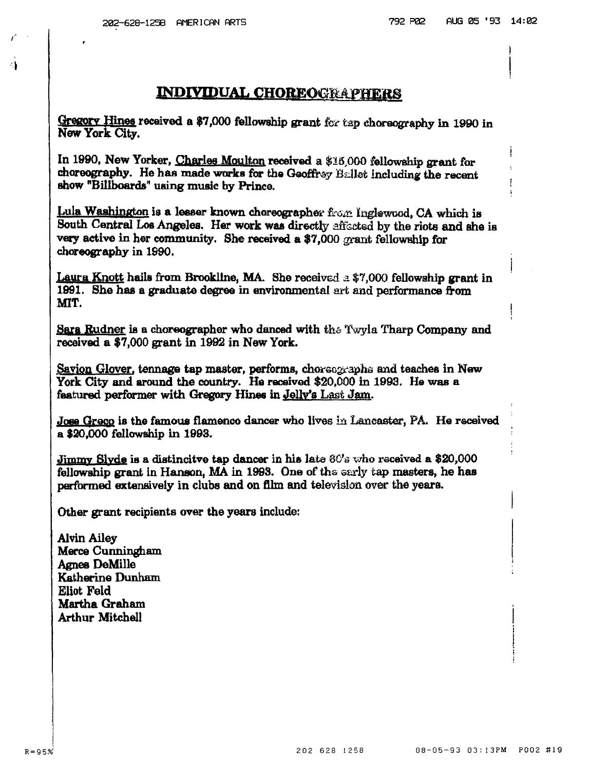#### **INDIVIDUAL CHOREOGRAPHERS**

Gregory Hines received a \$7,000 fellowship grant for tap choreography in 1990 in New York City.

In 1990, New Yorker, Charles Moulton received a \$16,000 fellowship grant for choreography. He has made works for the Geoffrey  $B$ ellet including the recent show "Billboards" using music by Prince.

Lula Washington is a lesser known choreographer from Inglewood, CA which is South Central Los Angeles. Her work was directly affected by the riots and she is very active in her community. She received a \$7 ,000 grant fellowship for choreography in 1990.

Laura Knott hails from Brookline, MA. She received a  $$7,000$  fellowship grant in 1991. She has a graduate degree in environmental art and performance from MIT.

**Sara Rudner is a choreographer who danced with the Twyla Tharp Company and** received a \$7,000 grant in 1992 in New York.

Savion Glover, tennage tap master, performs, choreographs and teaches in New York City and around the country. Ha received \$20,000 in 1993. He was a featured performer with Gregory Hines in Jelly's Last Jam.

Jose Gregg is the famous flamenco dancer who lives in Lancaster, PA. He received a \$20,000 fellowship in 1993.

Jimmy Slyde is a distincitve tap dancer in his late  $\partial G$ 's who received a \$20,000 fellowship grant in Hanson, MA in 1993. One of the early tap masters, he has performed extensively in clubs and on fllm and televisfon over the yeare.

Other grant recipients over the years include:

Alvin Ailey Merce Cunningham. Agnes DeMille Katherine Dunham Eliot Feld Martha Graham Arthur Mitchell

...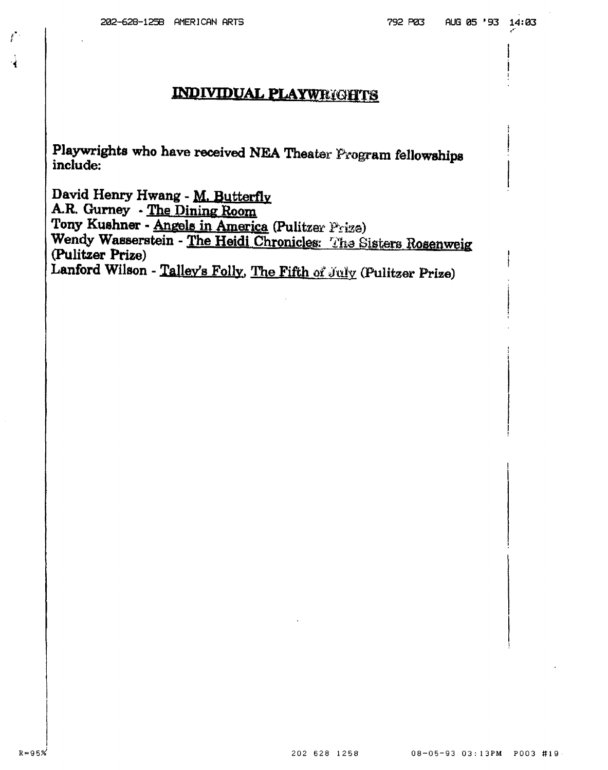$\mathbf{f}$ 

### **INDIVIDUAL PLAYWRIGHTS**

Playwrights who have received NEA Theater Program fellowships include:

David Henry Hwang - M. Butterfly A.R. Gurney - The Dining Room Tony Kushner - Angels in America (Pulitzer Prize) Wendy Wasserstein - The Heidi Chronicles: The Sisters Rosenweig (Pulitzer Prize) Lanford Wilson - Talley's Folly, The Fifth of July (Pulitzer Prize)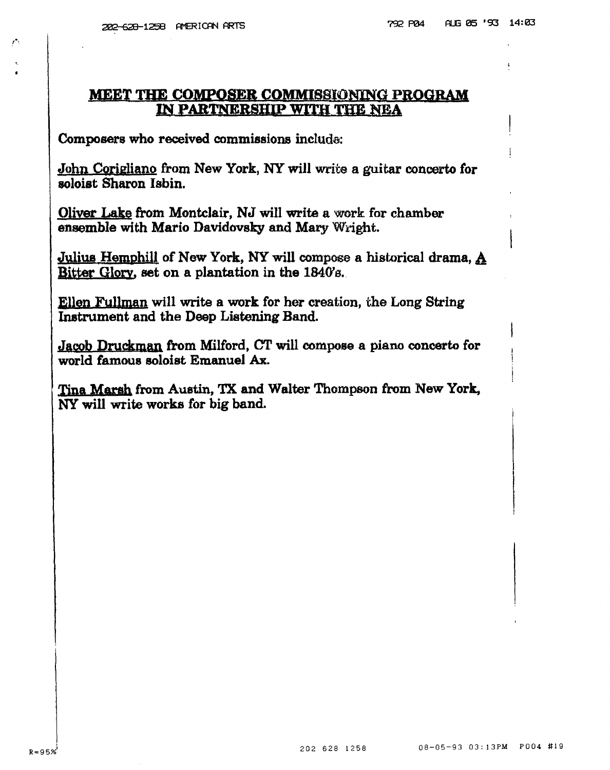$\mathcal{E}$ 

#### MEET THE COMPOSER COMMISSJONINg PROGRAM IN PARTNERSHIP WITH THE NEA

Composers who received commissions include:

John Corigliano from New York, NY will write a guitar concerto for soloist Sharon Isbin.

Oliver Lake from Montclair, NJ will write a work for chamber ensemble with Mario Davidovsky and Mary Wright.

Julius Hemphill of New York, NY will compose a historical drama, A Bitter Glory, set on a plantation in the  $1840's$ .

Ellen Fullman will write a work for her creation, the Long String Instrument and the Deep Listening Band.

Jacob Druckman from Milford, CT will compose a piano concerto for world famous soloist Emanuel Ax.

Tina Marsh from Austin, TX and Walter Thompson from New York, NY will write works for big band.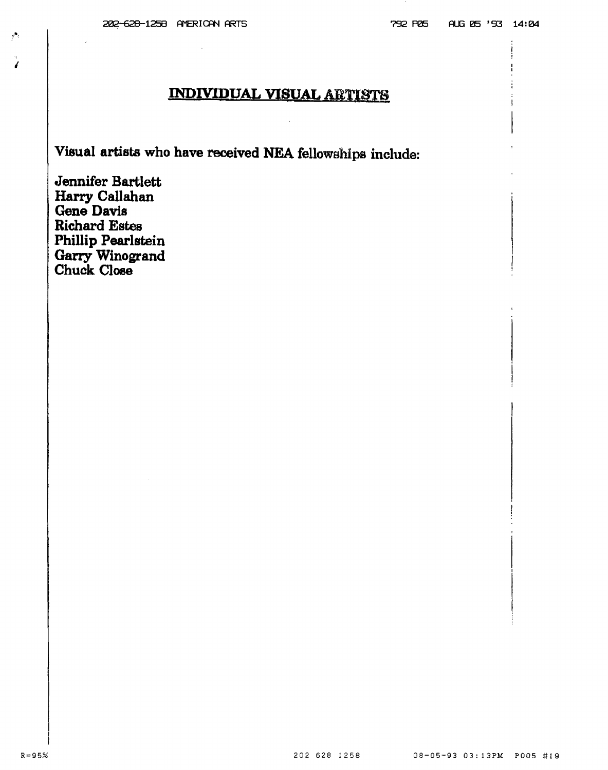# INDIVIDUAL VISUAL ARTISTS

Visual artists who have received NEA fellowships include:

Jennifer Bartlett Harry Callahan Gene Davis **Richard Estes** Phillip Pearlstein Garry Winogrand Chuck Close

'

 $\mathcal{P}^{\bullet}$